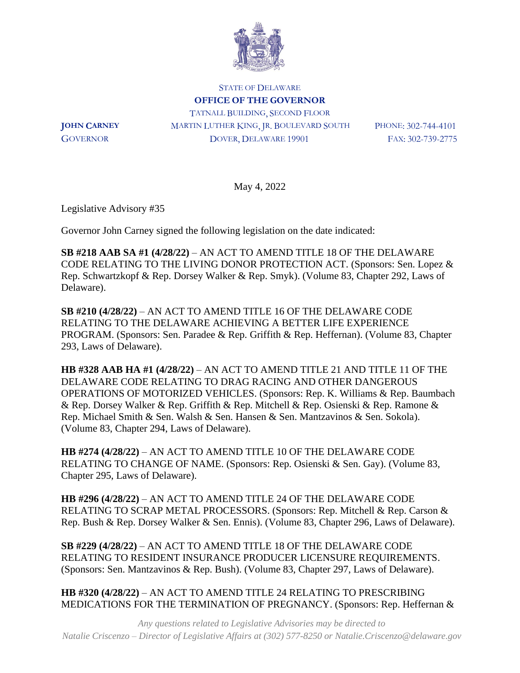

STATE OF DELAWARE **OFFICE OF THE GOVERNOR** TATNALL BUILDING, SECOND FLOOR **JOHN CARNEY** MARTIN LUTHER KING, JR. BOULEVARD SOUTH PHONE: 302-744-4101 GOVERNOR DOVER, DELAWARE 19901 FAX: 302-739-2775

May 4, 2022

Legislative Advisory #35

Governor John Carney signed the following legislation on the date indicated:

**SB #218 AAB SA #1 (4/28/22)** – AN ACT TO AMEND TITLE 18 OF THE DELAWARE CODE RELATING TO THE LIVING DONOR PROTECTION ACT. (Sponsors: Sen. Lopez & Rep. Schwartzkopf & Rep. Dorsey Walker & Rep. Smyk). (Volume 83, Chapter 292, Laws of Delaware).

**SB #210 (4/28/22)** – AN ACT TO AMEND TITLE 16 OF THE DELAWARE CODE RELATING TO THE DELAWARE ACHIEVING A BETTER LIFE EXPERIENCE PROGRAM. (Sponsors: Sen. Paradee & Rep. Griffith & Rep. Heffernan). (Volume 83, Chapter 293, Laws of Delaware).

**HB #328 AAB HA #1 (4/28/22)** – AN ACT TO AMEND TITLE 21 AND TITLE 11 OF THE DELAWARE CODE RELATING TO DRAG RACING AND OTHER DANGEROUS OPERATIONS OF MOTORIZED VEHICLES. (Sponsors: Rep. K. Williams & Rep. Baumbach & Rep. Dorsey Walker & Rep. Griffith & Rep. Mitchell & Rep. Osienski & Rep. Ramone & Rep. Michael Smith & Sen. Walsh & Sen. Hansen & Sen. Mantzavinos & Sen. Sokola). (Volume 83, Chapter 294, Laws of Delaware).

**HB #274 (4/28/22)** – AN ACT TO AMEND TITLE 10 OF THE DELAWARE CODE RELATING TO CHANGE OF NAME. (Sponsors: Rep. Osienski & Sen. Gay). (Volume 83, Chapter 295, Laws of Delaware).

**HB #296 (4/28/22)** – AN ACT TO AMEND TITLE 24 OF THE DELAWARE CODE RELATING TO SCRAP METAL PROCESSORS. (Sponsors: Rep. Mitchell & Rep. Carson & Rep. Bush & Rep. Dorsey Walker & Sen. Ennis). (Volume 83, Chapter 296, Laws of Delaware).

**SB #229 (4/28/22)** – AN ACT TO AMEND TITLE 18 OF THE DELAWARE CODE RELATING TO RESIDENT INSURANCE PRODUCER LICENSURE REQUIREMENTS. (Sponsors: Sen. Mantzavinos & Rep. Bush). (Volume 83, Chapter 297, Laws of Delaware).

**HB #320 (4/28/22)** – AN ACT TO AMEND TITLE 24 RELATING TO PRESCRIBING MEDICATIONS FOR THE TERMINATION OF PREGNANCY. (Sponsors: Rep. Heffernan &